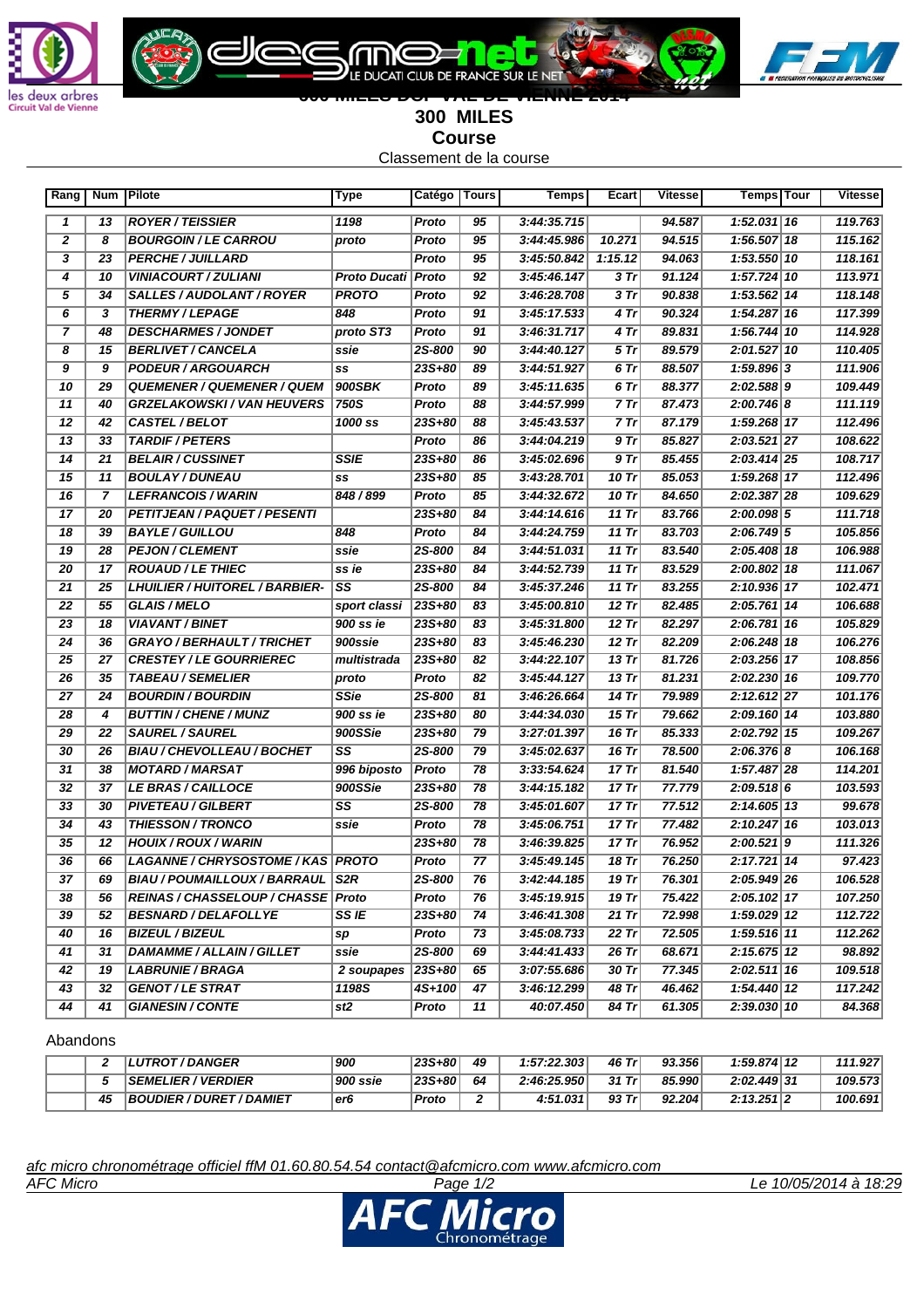

G



## **600 MILES DCF VAL DE VIENNE 2014 300 MILES Course**

LE DUCATI CLUB DE FRANCE SUR LE NET

ገር

Classement de la course

| 1198<br>13<br><b>ROYER / TEISSIER</b><br>95<br>3:44:35.715<br>94.587<br>1<br>Proto<br>$\overline{2}$<br>95<br>94.515<br>8<br><b>BOURGOIN / LE CARROU</b><br>Proto<br>3:44:45.986<br>10.271<br>proto<br>$\overline{\mathbf{3}}$<br>23<br><b>PERCHE / JUILLARD</b><br>Proto<br>95<br>3:45:50.842<br>1:15.12<br>94.063<br>$\overline{4}$<br>$\overline{10}$<br><b>VINIACOURT / ZULIANI</b><br>Proto Ducati   Proto<br>92<br>3:45:46.147<br>3 Tr<br>91.124<br>$\overline{5}$<br>$\overline{34}$<br>$\overline{92}$<br>SALLES / AUDOLANT / ROYER<br><b>PROTO</b><br>Proto<br>3:46:28.708<br>3 Tr<br>90.838<br>6<br>$\overline{\mathbf{3}}$<br><b>THERMY/LEPAGE</b><br>848<br>91<br>4 Tr<br>90.324<br>Proto<br>3:45:17.533<br>$\overline{\mathbf{z}}$<br>48<br><b>DESCHARMES / JONDET</b><br>proto ST3<br>Proto<br>91<br>3:46:31.717<br>4 Tr<br>89.831<br><b>2S-800</b><br>8<br>15<br><b>BERLIVET / CANCELA</b><br>90<br>3:44:40.127<br>5 Tr<br>89.579<br>ssie<br>9<br>9<br><b>PODEUR / ARGOUARCH</b><br>23S+80<br>89<br>3:44:51.927<br>6 Tr<br>88.507<br>SS<br>900SBK<br>10<br>29<br><b>QUEMENER / QUEMENER / QUEM</b><br>89<br>3:45:11.635<br>6 Tr<br>88.377<br>Proto<br><b>750S</b><br>11<br>40<br><b>GRZELAKOWSKI / VAN HEUVERS</b><br>Proto<br>88<br>3:44:57.999<br>7 Tr<br>87.473<br>12<br>42<br>CASTEL / BELOT<br>1000 ss<br>23S+80<br>88<br>3:45:43.537<br>87.179<br>7 Tr<br><b>TARDIF/PETERS</b><br>9Tr<br>13<br>33<br>Proto<br>86<br>3:44:04.219<br>85.827<br>$\overline{14}$<br><b>BELAIR/CUSSINET</b><br><b>SSIE</b><br>23S+80<br>21<br>86<br>3:45:02.696<br>9 Tr<br>85.455<br>15<br>11<br><b>BOULAY/DUNEAU</b><br>23S+80<br>85<br>3:43:28.701<br>10 Tr<br>85.053<br>SS<br>$\overline{16}$<br>$\overline{7}$<br><b>LEFRANCOIS / WARIN</b><br>848 / 899<br>Proto<br>85<br>3:44:32.672<br>10 Tr<br>84.650<br>$\overline{17}$<br>$23S+80$<br>20<br>PETITJEAN / PAQUET / PESENTI<br>84<br>3:44:14.616<br>11 $Tr$<br>83.766<br>18<br>39<br><b>BAYLE/GUILLOU</b><br>848<br>Proto<br>84<br>3:44:24.759<br>11 $Tr$<br>83.703<br>$\overline{19}$<br>$\overline{28}$<br><b>PEJON / CLEMENT</b><br><b>2S-800</b><br>ssie<br>84<br>3:44:51.031<br>11 $Tr$<br>83.540<br>$\overline{20}$<br>$\overline{17}$<br><b>ROUAUD / LE THIEC</b><br>23S+80<br>ss ie<br>84<br>3:44:52.739<br>11 $Tr$<br>83.529<br>SS<br>83.255<br>21<br>25<br><b>LHUILIER / HUITOREL / BARBIER-</b><br><b>2S-800</b><br>84<br>3:45:37.246<br>11 $Tr$<br>22<br>55<br><b>GLAIS / MELO</b><br>23S+80<br>83<br>3:45:00.810<br>$12$ Tr<br>82.485<br>sport classi<br>$\overline{23}$<br>23S+80<br>$12$ Tr<br>82.297<br>18<br><b>VIAVANT / BINET</b><br>900 ss ie<br>83<br>3:45:31.800<br>24<br>23S+80<br>$12$ Tr<br>36<br><b>GRAYO / BERHAULT / TRICHET</b><br>900ssie<br>83<br>3:45:46.230<br>82.209<br>$\overline{25}$<br>$\overline{27}$<br>23S+80<br>$13$ Tr<br>81.726<br><b>CRESTEY / LE GOURRIEREC</b><br>multistrada<br>82<br>3:44:22.107<br>$\overline{26}$<br>$13$ Tr<br>35<br><b>TABEAU / SEMELIER</b><br>Proto<br>82<br>3:45:44.127<br>81.231<br>proto<br><b>SSie</b><br>27<br>24<br><b>BOURDIN / BOURDIN</b><br><b>2S-800</b><br>81<br>3:46:26.664<br>14 Tr<br>79.989 | $1:52.031$ 16<br>$1:56.507$ 18<br>$1:53.550$ 10<br>$1:57.724$ 10<br>$1:53.562$ 14<br>$1:54.287$ 16<br>$1:56.744$ 10<br>2:01.527 10<br>$1:59.896$ 3<br>$2:02.588$  9<br>$2:00.746$ 8<br>1:59.268 17<br>$2:03.521$ 27<br>2:03.414 25<br>1:59.268 17<br>2:02.387 28<br>$2:00.098$ 5<br>2:06.749 5<br>2:05.408 18<br>2:00.802 18 | 119.763<br>115.162<br>118.161<br>113.971<br>118.148<br>117.399<br>114.928<br>110.405<br>111.906<br>109.449<br>111.119<br>112.496<br>108.622<br>108.717<br>112.496<br>109.629<br>111.718<br>105.856 |
|-------------------------------------------------------------------------------------------------------------------------------------------------------------------------------------------------------------------------------------------------------------------------------------------------------------------------------------------------------------------------------------------------------------------------------------------------------------------------------------------------------------------------------------------------------------------------------------------------------------------------------------------------------------------------------------------------------------------------------------------------------------------------------------------------------------------------------------------------------------------------------------------------------------------------------------------------------------------------------------------------------------------------------------------------------------------------------------------------------------------------------------------------------------------------------------------------------------------------------------------------------------------------------------------------------------------------------------------------------------------------------------------------------------------------------------------------------------------------------------------------------------------------------------------------------------------------------------------------------------------------------------------------------------------------------------------------------------------------------------------------------------------------------------------------------------------------------------------------------------------------------------------------------------------------------------------------------------------------------------------------------------------------------------------------------------------------------------------------------------------------------------------------------------------------------------------------------------------------------------------------------------------------------------------------------------------------------------------------------------------------------------------------------------------------------------------------------------------------------------------------------------------------------------------------------------------------------------------------------------------------------------------------------------------------------------------------------------------------------------------------------------------------------------------------------------------------------------------------------------------------------------------------------------------------------------------------------------------------------------------------------------------------------------------------------------------------------------------------------------------------------------------|------------------------------------------------------------------------------------------------------------------------------------------------------------------------------------------------------------------------------------------------------------------------------------------------------------------------------|----------------------------------------------------------------------------------------------------------------------------------------------------------------------------------------------------|
|                                                                                                                                                                                                                                                                                                                                                                                                                                                                                                                                                                                                                                                                                                                                                                                                                                                                                                                                                                                                                                                                                                                                                                                                                                                                                                                                                                                                                                                                                                                                                                                                                                                                                                                                                                                                                                                                                                                                                                                                                                                                                                                                                                                                                                                                                                                                                                                                                                                                                                                                                                                                                                                                                                                                                                                                                                                                                                                                                                                                                                                                                                                                           |                                                                                                                                                                                                                                                                                                                              |                                                                                                                                                                                                    |
|                                                                                                                                                                                                                                                                                                                                                                                                                                                                                                                                                                                                                                                                                                                                                                                                                                                                                                                                                                                                                                                                                                                                                                                                                                                                                                                                                                                                                                                                                                                                                                                                                                                                                                                                                                                                                                                                                                                                                                                                                                                                                                                                                                                                                                                                                                                                                                                                                                                                                                                                                                                                                                                                                                                                                                                                                                                                                                                                                                                                                                                                                                                                           |                                                                                                                                                                                                                                                                                                                              |                                                                                                                                                                                                    |
|                                                                                                                                                                                                                                                                                                                                                                                                                                                                                                                                                                                                                                                                                                                                                                                                                                                                                                                                                                                                                                                                                                                                                                                                                                                                                                                                                                                                                                                                                                                                                                                                                                                                                                                                                                                                                                                                                                                                                                                                                                                                                                                                                                                                                                                                                                                                                                                                                                                                                                                                                                                                                                                                                                                                                                                                                                                                                                                                                                                                                                                                                                                                           |                                                                                                                                                                                                                                                                                                                              |                                                                                                                                                                                                    |
|                                                                                                                                                                                                                                                                                                                                                                                                                                                                                                                                                                                                                                                                                                                                                                                                                                                                                                                                                                                                                                                                                                                                                                                                                                                                                                                                                                                                                                                                                                                                                                                                                                                                                                                                                                                                                                                                                                                                                                                                                                                                                                                                                                                                                                                                                                                                                                                                                                                                                                                                                                                                                                                                                                                                                                                                                                                                                                                                                                                                                                                                                                                                           |                                                                                                                                                                                                                                                                                                                              |                                                                                                                                                                                                    |
|                                                                                                                                                                                                                                                                                                                                                                                                                                                                                                                                                                                                                                                                                                                                                                                                                                                                                                                                                                                                                                                                                                                                                                                                                                                                                                                                                                                                                                                                                                                                                                                                                                                                                                                                                                                                                                                                                                                                                                                                                                                                                                                                                                                                                                                                                                                                                                                                                                                                                                                                                                                                                                                                                                                                                                                                                                                                                                                                                                                                                                                                                                                                           |                                                                                                                                                                                                                                                                                                                              |                                                                                                                                                                                                    |
|                                                                                                                                                                                                                                                                                                                                                                                                                                                                                                                                                                                                                                                                                                                                                                                                                                                                                                                                                                                                                                                                                                                                                                                                                                                                                                                                                                                                                                                                                                                                                                                                                                                                                                                                                                                                                                                                                                                                                                                                                                                                                                                                                                                                                                                                                                                                                                                                                                                                                                                                                                                                                                                                                                                                                                                                                                                                                                                                                                                                                                                                                                                                           |                                                                                                                                                                                                                                                                                                                              |                                                                                                                                                                                                    |
|                                                                                                                                                                                                                                                                                                                                                                                                                                                                                                                                                                                                                                                                                                                                                                                                                                                                                                                                                                                                                                                                                                                                                                                                                                                                                                                                                                                                                                                                                                                                                                                                                                                                                                                                                                                                                                                                                                                                                                                                                                                                                                                                                                                                                                                                                                                                                                                                                                                                                                                                                                                                                                                                                                                                                                                                                                                                                                                                                                                                                                                                                                                                           |                                                                                                                                                                                                                                                                                                                              |                                                                                                                                                                                                    |
|                                                                                                                                                                                                                                                                                                                                                                                                                                                                                                                                                                                                                                                                                                                                                                                                                                                                                                                                                                                                                                                                                                                                                                                                                                                                                                                                                                                                                                                                                                                                                                                                                                                                                                                                                                                                                                                                                                                                                                                                                                                                                                                                                                                                                                                                                                                                                                                                                                                                                                                                                                                                                                                                                                                                                                                                                                                                                                                                                                                                                                                                                                                                           |                                                                                                                                                                                                                                                                                                                              |                                                                                                                                                                                                    |
|                                                                                                                                                                                                                                                                                                                                                                                                                                                                                                                                                                                                                                                                                                                                                                                                                                                                                                                                                                                                                                                                                                                                                                                                                                                                                                                                                                                                                                                                                                                                                                                                                                                                                                                                                                                                                                                                                                                                                                                                                                                                                                                                                                                                                                                                                                                                                                                                                                                                                                                                                                                                                                                                                                                                                                                                                                                                                                                                                                                                                                                                                                                                           |                                                                                                                                                                                                                                                                                                                              |                                                                                                                                                                                                    |
|                                                                                                                                                                                                                                                                                                                                                                                                                                                                                                                                                                                                                                                                                                                                                                                                                                                                                                                                                                                                                                                                                                                                                                                                                                                                                                                                                                                                                                                                                                                                                                                                                                                                                                                                                                                                                                                                                                                                                                                                                                                                                                                                                                                                                                                                                                                                                                                                                                                                                                                                                                                                                                                                                                                                                                                                                                                                                                                                                                                                                                                                                                                                           |                                                                                                                                                                                                                                                                                                                              |                                                                                                                                                                                                    |
|                                                                                                                                                                                                                                                                                                                                                                                                                                                                                                                                                                                                                                                                                                                                                                                                                                                                                                                                                                                                                                                                                                                                                                                                                                                                                                                                                                                                                                                                                                                                                                                                                                                                                                                                                                                                                                                                                                                                                                                                                                                                                                                                                                                                                                                                                                                                                                                                                                                                                                                                                                                                                                                                                                                                                                                                                                                                                                                                                                                                                                                                                                                                           |                                                                                                                                                                                                                                                                                                                              |                                                                                                                                                                                                    |
|                                                                                                                                                                                                                                                                                                                                                                                                                                                                                                                                                                                                                                                                                                                                                                                                                                                                                                                                                                                                                                                                                                                                                                                                                                                                                                                                                                                                                                                                                                                                                                                                                                                                                                                                                                                                                                                                                                                                                                                                                                                                                                                                                                                                                                                                                                                                                                                                                                                                                                                                                                                                                                                                                                                                                                                                                                                                                                                                                                                                                                                                                                                                           |                                                                                                                                                                                                                                                                                                                              |                                                                                                                                                                                                    |
|                                                                                                                                                                                                                                                                                                                                                                                                                                                                                                                                                                                                                                                                                                                                                                                                                                                                                                                                                                                                                                                                                                                                                                                                                                                                                                                                                                                                                                                                                                                                                                                                                                                                                                                                                                                                                                                                                                                                                                                                                                                                                                                                                                                                                                                                                                                                                                                                                                                                                                                                                                                                                                                                                                                                                                                                                                                                                                                                                                                                                                                                                                                                           |                                                                                                                                                                                                                                                                                                                              |                                                                                                                                                                                                    |
|                                                                                                                                                                                                                                                                                                                                                                                                                                                                                                                                                                                                                                                                                                                                                                                                                                                                                                                                                                                                                                                                                                                                                                                                                                                                                                                                                                                                                                                                                                                                                                                                                                                                                                                                                                                                                                                                                                                                                                                                                                                                                                                                                                                                                                                                                                                                                                                                                                                                                                                                                                                                                                                                                                                                                                                                                                                                                                                                                                                                                                                                                                                                           |                                                                                                                                                                                                                                                                                                                              |                                                                                                                                                                                                    |
|                                                                                                                                                                                                                                                                                                                                                                                                                                                                                                                                                                                                                                                                                                                                                                                                                                                                                                                                                                                                                                                                                                                                                                                                                                                                                                                                                                                                                                                                                                                                                                                                                                                                                                                                                                                                                                                                                                                                                                                                                                                                                                                                                                                                                                                                                                                                                                                                                                                                                                                                                                                                                                                                                                                                                                                                                                                                                                                                                                                                                                                                                                                                           |                                                                                                                                                                                                                                                                                                                              |                                                                                                                                                                                                    |
|                                                                                                                                                                                                                                                                                                                                                                                                                                                                                                                                                                                                                                                                                                                                                                                                                                                                                                                                                                                                                                                                                                                                                                                                                                                                                                                                                                                                                                                                                                                                                                                                                                                                                                                                                                                                                                                                                                                                                                                                                                                                                                                                                                                                                                                                                                                                                                                                                                                                                                                                                                                                                                                                                                                                                                                                                                                                                                                                                                                                                                                                                                                                           |                                                                                                                                                                                                                                                                                                                              |                                                                                                                                                                                                    |
|                                                                                                                                                                                                                                                                                                                                                                                                                                                                                                                                                                                                                                                                                                                                                                                                                                                                                                                                                                                                                                                                                                                                                                                                                                                                                                                                                                                                                                                                                                                                                                                                                                                                                                                                                                                                                                                                                                                                                                                                                                                                                                                                                                                                                                                                                                                                                                                                                                                                                                                                                                                                                                                                                                                                                                                                                                                                                                                                                                                                                                                                                                                                           |                                                                                                                                                                                                                                                                                                                              |                                                                                                                                                                                                    |
|                                                                                                                                                                                                                                                                                                                                                                                                                                                                                                                                                                                                                                                                                                                                                                                                                                                                                                                                                                                                                                                                                                                                                                                                                                                                                                                                                                                                                                                                                                                                                                                                                                                                                                                                                                                                                                                                                                                                                                                                                                                                                                                                                                                                                                                                                                                                                                                                                                                                                                                                                                                                                                                                                                                                                                                                                                                                                                                                                                                                                                                                                                                                           |                                                                                                                                                                                                                                                                                                                              |                                                                                                                                                                                                    |
|                                                                                                                                                                                                                                                                                                                                                                                                                                                                                                                                                                                                                                                                                                                                                                                                                                                                                                                                                                                                                                                                                                                                                                                                                                                                                                                                                                                                                                                                                                                                                                                                                                                                                                                                                                                                                                                                                                                                                                                                                                                                                                                                                                                                                                                                                                                                                                                                                                                                                                                                                                                                                                                                                                                                                                                                                                                                                                                                                                                                                                                                                                                                           |                                                                                                                                                                                                                                                                                                                              | 106.988                                                                                                                                                                                            |
|                                                                                                                                                                                                                                                                                                                                                                                                                                                                                                                                                                                                                                                                                                                                                                                                                                                                                                                                                                                                                                                                                                                                                                                                                                                                                                                                                                                                                                                                                                                                                                                                                                                                                                                                                                                                                                                                                                                                                                                                                                                                                                                                                                                                                                                                                                                                                                                                                                                                                                                                                                                                                                                                                                                                                                                                                                                                                                                                                                                                                                                                                                                                           |                                                                                                                                                                                                                                                                                                                              | 111.067                                                                                                                                                                                            |
|                                                                                                                                                                                                                                                                                                                                                                                                                                                                                                                                                                                                                                                                                                                                                                                                                                                                                                                                                                                                                                                                                                                                                                                                                                                                                                                                                                                                                                                                                                                                                                                                                                                                                                                                                                                                                                                                                                                                                                                                                                                                                                                                                                                                                                                                                                                                                                                                                                                                                                                                                                                                                                                                                                                                                                                                                                                                                                                                                                                                                                                                                                                                           | 2:10.936 17                                                                                                                                                                                                                                                                                                                  | 102.471                                                                                                                                                                                            |
|                                                                                                                                                                                                                                                                                                                                                                                                                                                                                                                                                                                                                                                                                                                                                                                                                                                                                                                                                                                                                                                                                                                                                                                                                                                                                                                                                                                                                                                                                                                                                                                                                                                                                                                                                                                                                                                                                                                                                                                                                                                                                                                                                                                                                                                                                                                                                                                                                                                                                                                                                                                                                                                                                                                                                                                                                                                                                                                                                                                                                                                                                                                                           | $2:05.761$ 14                                                                                                                                                                                                                                                                                                                | 106.688                                                                                                                                                                                            |
|                                                                                                                                                                                                                                                                                                                                                                                                                                                                                                                                                                                                                                                                                                                                                                                                                                                                                                                                                                                                                                                                                                                                                                                                                                                                                                                                                                                                                                                                                                                                                                                                                                                                                                                                                                                                                                                                                                                                                                                                                                                                                                                                                                                                                                                                                                                                                                                                                                                                                                                                                                                                                                                                                                                                                                                                                                                                                                                                                                                                                                                                                                                                           | $2:06.781$ 16                                                                                                                                                                                                                                                                                                                | 105.829                                                                                                                                                                                            |
|                                                                                                                                                                                                                                                                                                                                                                                                                                                                                                                                                                                                                                                                                                                                                                                                                                                                                                                                                                                                                                                                                                                                                                                                                                                                                                                                                                                                                                                                                                                                                                                                                                                                                                                                                                                                                                                                                                                                                                                                                                                                                                                                                                                                                                                                                                                                                                                                                                                                                                                                                                                                                                                                                                                                                                                                                                                                                                                                                                                                                                                                                                                                           | $2:06.248$ 18                                                                                                                                                                                                                                                                                                                | 106.276                                                                                                                                                                                            |
|                                                                                                                                                                                                                                                                                                                                                                                                                                                                                                                                                                                                                                                                                                                                                                                                                                                                                                                                                                                                                                                                                                                                                                                                                                                                                                                                                                                                                                                                                                                                                                                                                                                                                                                                                                                                                                                                                                                                                                                                                                                                                                                                                                                                                                                                                                                                                                                                                                                                                                                                                                                                                                                                                                                                                                                                                                                                                                                                                                                                                                                                                                                                           | 2:03.256 17                                                                                                                                                                                                                                                                                                                  | 108.856                                                                                                                                                                                            |
|                                                                                                                                                                                                                                                                                                                                                                                                                                                                                                                                                                                                                                                                                                                                                                                                                                                                                                                                                                                                                                                                                                                                                                                                                                                                                                                                                                                                                                                                                                                                                                                                                                                                                                                                                                                                                                                                                                                                                                                                                                                                                                                                                                                                                                                                                                                                                                                                                                                                                                                                                                                                                                                                                                                                                                                                                                                                                                                                                                                                                                                                                                                                           | 2:02.230 16                                                                                                                                                                                                                                                                                                                  | 109.770                                                                                                                                                                                            |
|                                                                                                                                                                                                                                                                                                                                                                                                                                                                                                                                                                                                                                                                                                                                                                                                                                                                                                                                                                                                                                                                                                                                                                                                                                                                                                                                                                                                                                                                                                                                                                                                                                                                                                                                                                                                                                                                                                                                                                                                                                                                                                                                                                                                                                                                                                                                                                                                                                                                                                                                                                                                                                                                                                                                                                                                                                                                                                                                                                                                                                                                                                                                           | $2:12.612$ 27                                                                                                                                                                                                                                                                                                                | 101.176                                                                                                                                                                                            |
| $\overline{28}$<br>$\overline{4}$<br>$235 + 80$<br>$15$ Tr<br><b>BUTTIN / CHENE / MUNZ</b><br>900 ss ie<br>80<br>3:44:34.030<br>79.662                                                                                                                                                                                                                                                                                                                                                                                                                                                                                                                                                                                                                                                                                                                                                                                                                                                                                                                                                                                                                                                                                                                                                                                                                                                                                                                                                                                                                                                                                                                                                                                                                                                                                                                                                                                                                                                                                                                                                                                                                                                                                                                                                                                                                                                                                                                                                                                                                                                                                                                                                                                                                                                                                                                                                                                                                                                                                                                                                                                                    | $2:09.160$ 14                                                                                                                                                                                                                                                                                                                | 103.880                                                                                                                                                                                            |
| $\overline{29}$<br>$\overline{22}$<br><b>SAUREL / SAUREL</b><br>23S+80<br>$\overline{79}$<br>$16$ Tr<br>900SSie<br>3:27:01.397<br>85.333                                                                                                                                                                                                                                                                                                                                                                                                                                                                                                                                                                                                                                                                                                                                                                                                                                                                                                                                                                                                                                                                                                                                                                                                                                                                                                                                                                                                                                                                                                                                                                                                                                                                                                                                                                                                                                                                                                                                                                                                                                                                                                                                                                                                                                                                                                                                                                                                                                                                                                                                                                                                                                                                                                                                                                                                                                                                                                                                                                                                  | $2:02.792$ 15                                                                                                                                                                                                                                                                                                                | 109.267                                                                                                                                                                                            |
| $\overline{\text{ss}}$<br>30<br>$\overline{26}$<br><b>2S-800</b><br>79<br><b>BIAU / CHEVOLLEAU / BOCHET</b><br>3:45:02.637<br>16 Tr<br>78.500                                                                                                                                                                                                                                                                                                                                                                                                                                                                                                                                                                                                                                                                                                                                                                                                                                                                                                                                                                                                                                                                                                                                                                                                                                                                                                                                                                                                                                                                                                                                                                                                                                                                                                                                                                                                                                                                                                                                                                                                                                                                                                                                                                                                                                                                                                                                                                                                                                                                                                                                                                                                                                                                                                                                                                                                                                                                                                                                                                                             | $2:06.376$ 8                                                                                                                                                                                                                                                                                                                 | 106.168                                                                                                                                                                                            |
| $\overline{31}$<br>38<br>78<br><b>MOTARD / MARSAT</b><br>996 biposto<br>Proto<br>3:33:54.624<br>$17$ Tr<br>81.540                                                                                                                                                                                                                                                                                                                                                                                                                                                                                                                                                                                                                                                                                                                                                                                                                                                                                                                                                                                                                                                                                                                                                                                                                                                                                                                                                                                                                                                                                                                                                                                                                                                                                                                                                                                                                                                                                                                                                                                                                                                                                                                                                                                                                                                                                                                                                                                                                                                                                                                                                                                                                                                                                                                                                                                                                                                                                                                                                                                                                         | $1:57.487$ 28                                                                                                                                                                                                                                                                                                                | 114.201                                                                                                                                                                                            |
| $\overline{32}$<br><b>LE BRAS / CAILLOCE</b><br>900SSie<br>78<br>$17$ Tr<br>37<br>23S+80<br>3:44:15.182<br>77.779                                                                                                                                                                                                                                                                                                                                                                                                                                                                                                                                                                                                                                                                                                                                                                                                                                                                                                                                                                                                                                                                                                                                                                                                                                                                                                                                                                                                                                                                                                                                                                                                                                                                                                                                                                                                                                                                                                                                                                                                                                                                                                                                                                                                                                                                                                                                                                                                                                                                                                                                                                                                                                                                                                                                                                                                                                                                                                                                                                                                                         | $2:09.518$ 6                                                                                                                                                                                                                                                                                                                 | 103.593                                                                                                                                                                                            |
| $\overline{\text{ss}}$<br>33<br>30<br><b>PIVETEAU / GILBERT</b><br>2S-800<br>78<br>3:45:01.607<br>17 Tr<br>77.512                                                                                                                                                                                                                                                                                                                                                                                                                                                                                                                                                                                                                                                                                                                                                                                                                                                                                                                                                                                                                                                                                                                                                                                                                                                                                                                                                                                                                                                                                                                                                                                                                                                                                                                                                                                                                                                                                                                                                                                                                                                                                                                                                                                                                                                                                                                                                                                                                                                                                                                                                                                                                                                                                                                                                                                                                                                                                                                                                                                                                         | $2:14.605$ 13                                                                                                                                                                                                                                                                                                                | 99.678                                                                                                                                                                                             |
| $17$ Tr<br>34<br>43<br><b>THIESSON / TRONCO</b><br>78<br>3:45:06.751<br>77.482<br>ssie<br>Proto                                                                                                                                                                                                                                                                                                                                                                                                                                                                                                                                                                                                                                                                                                                                                                                                                                                                                                                                                                                                                                                                                                                                                                                                                                                                                                                                                                                                                                                                                                                                                                                                                                                                                                                                                                                                                                                                                                                                                                                                                                                                                                                                                                                                                                                                                                                                                                                                                                                                                                                                                                                                                                                                                                                                                                                                                                                                                                                                                                                                                                           | $2:10.247$ 16                                                                                                                                                                                                                                                                                                                | 103.013                                                                                                                                                                                            |
| <b>HOUIX / ROUX / WARIN</b><br>35<br>12<br>23S+80<br>78<br>3:46:39.825<br>$17$ Tr<br>76.952                                                                                                                                                                                                                                                                                                                                                                                                                                                                                                                                                                                                                                                                                                                                                                                                                                                                                                                                                                                                                                                                                                                                                                                                                                                                                                                                                                                                                                                                                                                                                                                                                                                                                                                                                                                                                                                                                                                                                                                                                                                                                                                                                                                                                                                                                                                                                                                                                                                                                                                                                                                                                                                                                                                                                                                                                                                                                                                                                                                                                                               | $2:00.521$  9                                                                                                                                                                                                                                                                                                                | 111.326                                                                                                                                                                                            |
| 66<br>LAGANNE / CHRYSOSTOME / KAS   PROTO<br>$18$ Tr<br>36<br>Proto<br>77<br>3:45:49.145<br>76.250                                                                                                                                                                                                                                                                                                                                                                                                                                                                                                                                                                                                                                                                                                                                                                                                                                                                                                                                                                                                                                                                                                                                                                                                                                                                                                                                                                                                                                                                                                                                                                                                                                                                                                                                                                                                                                                                                                                                                                                                                                                                                                                                                                                                                                                                                                                                                                                                                                                                                                                                                                                                                                                                                                                                                                                                                                                                                                                                                                                                                                        | $2:17.721$ 14                                                                                                                                                                                                                                                                                                                | 97.423                                                                                                                                                                                             |
| $\overline{37}$<br>69<br><b>BIAU / POUMAILLOUX / BARRAUL S2R</b><br><b>2S-800</b><br>76<br>3:42:44.185<br>$19$ Tr<br>76.301                                                                                                                                                                                                                                                                                                                                                                                                                                                                                                                                                                                                                                                                                                                                                                                                                                                                                                                                                                                                                                                                                                                                                                                                                                                                                                                                                                                                                                                                                                                                                                                                                                                                                                                                                                                                                                                                                                                                                                                                                                                                                                                                                                                                                                                                                                                                                                                                                                                                                                                                                                                                                                                                                                                                                                                                                                                                                                                                                                                                               | $2:05.949$ 26                                                                                                                                                                                                                                                                                                                | 106.528                                                                                                                                                                                            |
| REINAS / CHASSELOUP / CHASSE   Proto<br>38<br>Proto<br>76<br>3:45:19.915<br>19 Tr<br>75.422<br>56                                                                                                                                                                                                                                                                                                                                                                                                                                                                                                                                                                                                                                                                                                                                                                                                                                                                                                                                                                                                                                                                                                                                                                                                                                                                                                                                                                                                                                                                                                                                                                                                                                                                                                                                                                                                                                                                                                                                                                                                                                                                                                                                                                                                                                                                                                                                                                                                                                                                                                                                                                                                                                                                                                                                                                                                                                                                                                                                                                                                                                         | $2:05.102$ 17                                                                                                                                                                                                                                                                                                                | 107.250                                                                                                                                                                                            |
| SS <sub>IE</sub><br>39<br><b>BESNARD / DELAFOLLYE</b><br>23S+80<br>3:46:41.308<br>72.998<br>52<br>74<br>21 Tr                                                                                                                                                                                                                                                                                                                                                                                                                                                                                                                                                                                                                                                                                                                                                                                                                                                                                                                                                                                                                                                                                                                                                                                                                                                                                                                                                                                                                                                                                                                                                                                                                                                                                                                                                                                                                                                                                                                                                                                                                                                                                                                                                                                                                                                                                                                                                                                                                                                                                                                                                                                                                                                                                                                                                                                                                                                                                                                                                                                                                             | $1:59.029$ 12                                                                                                                                                                                                                                                                                                                | 112.722                                                                                                                                                                                            |
| 40<br><b>BIZEUL / BIZEUL</b><br>3:45:08.733<br>$22$ Tr<br>16<br>Proto<br>72.505<br>sp<br>73                                                                                                                                                                                                                                                                                                                                                                                                                                                                                                                                                                                                                                                                                                                                                                                                                                                                                                                                                                                                                                                                                                                                                                                                                                                                                                                                                                                                                                                                                                                                                                                                                                                                                                                                                                                                                                                                                                                                                                                                                                                                                                                                                                                                                                                                                                                                                                                                                                                                                                                                                                                                                                                                                                                                                                                                                                                                                                                                                                                                                                               | $1:59.516$ 11                                                                                                                                                                                                                                                                                                                | 112.262                                                                                                                                                                                            |
| 41<br>31<br><b>DAMAMME / ALLAIN / GILLET</b><br>2S-800<br>$26$ Tr<br>68.671<br>ssie<br>69<br>3:44:41.433                                                                                                                                                                                                                                                                                                                                                                                                                                                                                                                                                                                                                                                                                                                                                                                                                                                                                                                                                                                                                                                                                                                                                                                                                                                                                                                                                                                                                                                                                                                                                                                                                                                                                                                                                                                                                                                                                                                                                                                                                                                                                                                                                                                                                                                                                                                                                                                                                                                                                                                                                                                                                                                                                                                                                                                                                                                                                                                                                                                                                                  | $2:15.675$ 12                                                                                                                                                                                                                                                                                                                | 98.892                                                                                                                                                                                             |
| 23S+80<br>42<br>19<br><b>LABRUNIE / BRAGA</b><br>2 soupapes<br>65<br>3:07:55.686<br>30 Tr<br>77.345                                                                                                                                                                                                                                                                                                                                                                                                                                                                                                                                                                                                                                                                                                                                                                                                                                                                                                                                                                                                                                                                                                                                                                                                                                                                                                                                                                                                                                                                                                                                                                                                                                                                                                                                                                                                                                                                                                                                                                                                                                                                                                                                                                                                                                                                                                                                                                                                                                                                                                                                                                                                                                                                                                                                                                                                                                                                                                                                                                                                                                       | $2:02.511$ 16                                                                                                                                                                                                                                                                                                                | 109.518                                                                                                                                                                                            |
| 43<br>32<br><b>GENOT/LE STRAT</b><br>1198S<br>4S+100<br>3:46:12.299<br>48 Tr<br>46.462<br>47                                                                                                                                                                                                                                                                                                                                                                                                                                                                                                                                                                                                                                                                                                                                                                                                                                                                                                                                                                                                                                                                                                                                                                                                                                                                                                                                                                                                                                                                                                                                                                                                                                                                                                                                                                                                                                                                                                                                                                                                                                                                                                                                                                                                                                                                                                                                                                                                                                                                                                                                                                                                                                                                                                                                                                                                                                                                                                                                                                                                                                              | $1:54.440$ 12                                                                                                                                                                                                                                                                                                                | 117.242                                                                                                                                                                                            |
| 44<br>41<br><b>GIANESIN / CONTE</b><br>st2<br>40:07.450<br>84 Tr<br>61.305<br>Proto<br>11                                                                                                                                                                                                                                                                                                                                                                                                                                                                                                                                                                                                                                                                                                                                                                                                                                                                                                                                                                                                                                                                                                                                                                                                                                                                                                                                                                                                                                                                                                                                                                                                                                                                                                                                                                                                                                                                                                                                                                                                                                                                                                                                                                                                                                                                                                                                                                                                                                                                                                                                                                                                                                                                                                                                                                                                                                                                                                                                                                                                                                                 | $2:39.030$ 10                                                                                                                                                                                                                                                                                                                | 84.368                                                                                                                                                                                             |

## Abandons

|    | <b>LUTROT / DANGER</b>    | 900      | $23S + 80$ | 49 | 1:57:22.303 | 46 Trl  | 93.356 | 1:59.874 12   | 111.927 |
|----|---------------------------|----------|------------|----|-------------|---------|--------|---------------|---------|
|    | <b>SEMELIER / VERDIER</b> | 900 ssie | $23S + 80$ | 64 | 2:46:25.950 | $31$ Tr | 85.990 | $2:02.449$ 31 | 109.573 |
| 45 | BOUDIER / DURET / DAMIET  | er6      | Proto      |    | 4:51.031    | $93$ Tr | 92.204 | $2:13.251$ 2  | 100.691 |

*AFC Micro Page 1/2 Le 10/05/2014 à 18:29 afc micro chronométrage officiel ffM 01.60.80.54.54 contact@afcmicro.com www.afcmicro.com*